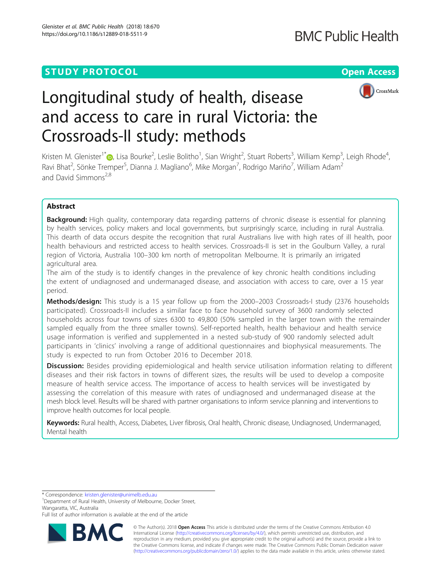# **STUDY PROTOCOL CONSUMING THE RESERVE ACCESS**



# Longitudinal study of health, disease and access to care in rural Victoria: the Crossroads-II study: methods

Kristen M. Glenister<sup>1\*</sup>®[,](http://orcid.org/0000-0003-0510-5314) Lisa Bourke<sup>2</sup>, Leslie Bolitho<sup>1</sup>, Sian Wright<sup>2</sup>, Stuart Roberts<sup>3</sup>, William Kemp<sup>3</sup>, Leigh Rhode<sup>4</sup> , Ravi Bhat $^2$ , Sönke Tremper $^5$ , Dianna J. Magliano $^6$ , Mike Morgan $^7$ , Rodrigo Mariño $^7$ , William Adam $^2$ and David Simmons $^{2,8}$ 

# Abstract

**Background:** High quality, contemporary data regarding patterns of chronic disease is essential for planning by health services, policy makers and local governments, but surprisingly scarce, including in rural Australia. This dearth of data occurs despite the recognition that rural Australians live with high rates of ill health, poor health behaviours and restricted access to health services. Crossroads-II is set in the Goulburn Valley, a rural region of Victoria, Australia 100–300 km north of metropolitan Melbourne. It is primarily an irrigated agricultural area.

The aim of the study is to identify changes in the prevalence of key chronic health conditions including the extent of undiagnosed and undermanaged disease, and association with access to care, over a 15 year period.

Methods/design: This study is a 15 year follow up from the 2000-2003 Crossroads-I study (2376 households participated). Crossroads-II includes a similar face to face household survey of 3600 randomly selected households across four towns of sizes 6300 to 49,800 (50% sampled in the larger town with the remainder sampled equally from the three smaller towns). Self-reported health, health behaviour and health service usage information is verified and supplemented in a nested sub-study of 900 randomly selected adult participants in 'clinics' involving a range of additional questionnaires and biophysical measurements. The study is expected to run from October 2016 to December 2018.

Discussion: Besides providing epidemiological and health service utilisation information relating to different diseases and their risk factors in towns of different sizes, the results will be used to develop a composite measure of health service access. The importance of access to health services will be investigated by assessing the correlation of this measure with rates of undiagnosed and undermanaged disease at the mesh block level. Results will be shared with partner organisations to inform service planning and interventions to improve health outcomes for local people.

Keywords: Rural health, Access, Diabetes, Liver fibrosis, Oral health, Chronic disease, Undiagnosed, Undermanaged, Mental health

\* Correspondence: [kristen.glenister@unimelb.edu.au](mailto:kristen.glenister@unimelb.edu.au) <sup>1</sup>

<sup>1</sup>Department of Rural Health, University of Melbourne, Docker Street, Wangaratta, VIC, Australia

Full list of author information is available at the end of the article



© The Author(s). 2018 Open Access This article is distributed under the terms of the Creative Commons Attribution 4.0 International License [\(http://creativecommons.org/licenses/by/4.0/](http://creativecommons.org/licenses/by/4.0/)), which permits unrestricted use, distribution, and reproduction in any medium, provided you give appropriate credit to the original author(s) and the source, provide a link to the Creative Commons license, and indicate if changes were made. The Creative Commons Public Domain Dedication waiver [\(http://creativecommons.org/publicdomain/zero/1.0/](http://creativecommons.org/publicdomain/zero/1.0/)) applies to the data made available in this article, unless otherwise stated.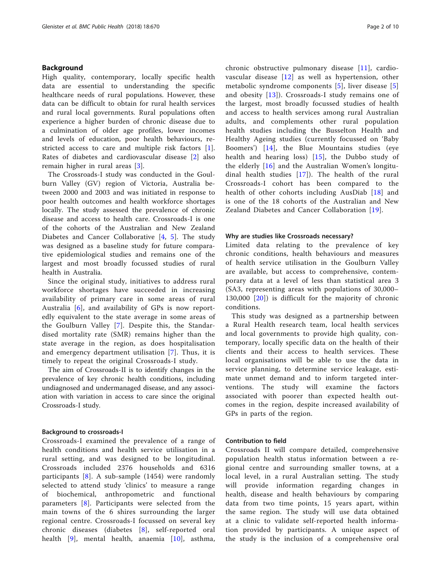# Background

High quality, contemporary, locally specific health data are essential to understanding the specific healthcare needs of rural populations. However, these data can be difficult to obtain for rural health services and rural local governments. Rural populations often experience a higher burden of chronic disease due to a culmination of older age profiles, lower incomes and levels of education, poor health behaviours, restricted access to care and multiple risk factors [\[1](#page-9-0)]. Rates of diabetes and cardiovascular disease [[2\]](#page-9-0) also remain higher in rural areas [[3\]](#page-9-0).

The Crossroads-I study was conducted in the Goulburn Valley (GV) region of Victoria, Australia between 2000 and 2003 and was initiated in response to poor health outcomes and health workforce shortages locally. The study assessed the prevalence of chronic disease and access to health care. Crossroads-I is one of the cohorts of the Australian and New Zealand Diabetes and Cancer Collaborative [[4,](#page-9-0) [5](#page-9-0)]. The study was designed as a baseline study for future comparative epidemiological studies and remains one of the largest and most broadly focussed studies of rural health in Australia.

Since the original study, initiatives to address rural workforce shortages have succeeded in increasing availability of primary care in some areas of rural Australia  $[6]$  $[6]$ , and availability of GPs is now reportedly equivalent to the state average in some areas of the Goulburn Valley [\[7\]](#page-9-0). Despite this, the Standardised mortality rate (SMR) remains higher than the state average in the region, as does hospitalisation and emergency department utilisation [\[7](#page-9-0)]. Thus, it is timely to repeat the original Crossroads-I study.

The aim of Crossroads-II is to identify changes in the prevalence of key chronic health conditions, including undiagnosed and undermanaged disease, and any association with variation in access to care since the original Crossroads-I study.

#### Background to crossroads-I

Crossroads-I examined the prevalence of a range of health conditions and health service utilisation in a rural setting, and was designed to be longitudinal. Crossroads included 2376 households and 6316 participants [[8\]](#page-9-0). A sub-sample (1454) were randomly selected to attend study 'clinics' to measure a range of biochemical, anthropometric and functional parameters [[8](#page-9-0)]. Participants were selected from the main towns of the 6 shires surrounding the larger regional centre. Crossroads-I focussed on several key chronic diseases (diabetes [[8](#page-9-0)], self-reported oral health [\[9](#page-9-0)], mental health, anaemia [[10\]](#page-9-0), asthma, chronic obstructive pulmonary disease [[11\]](#page-9-0), cardiovascular disease [[12\]](#page-9-0) as well as hypertension, other metabolic syndrome components [[5\]](#page-9-0), liver disease [\[5](#page-9-0)] and obesity  $[13]$ ). Crossroads-I study remains one of the largest, most broadly focussed studies of health and access to health services among rural Australian adults, and complements other rural population health studies including the Busselton Health and Healthy Ageing studies (currently focussed on 'Baby Boomers') [[14](#page-9-0)], the Blue Mountains studies (eye health and hearing loss) [\[15\]](#page-9-0), the Dubbo study of the elderly [\[16](#page-9-0)] and the Australian Women's longitudinal health studies [\[17\]](#page-9-0)). The health of the rural Crossroads-I cohort has been compared to the health of other cohorts including AusDiab [[18\]](#page-9-0) and is one of the 18 cohorts of the Australian and New Zealand Diabetes and Cancer Collaboration [[19](#page-9-0)].

#### Why are studies like Crossroads necessary?

Limited data relating to the prevalence of key chronic conditions, health behaviours and measures of health service utilisation in the Goulburn Valley are available, but access to comprehensive, contemporary data at a level of less than statistical area 3 (SA3, representing areas with populations of 30,000– 130,000 [[20](#page-9-0)]) is difficult for the majority of chronic conditions.

This study was designed as a partnership between a Rural Health research team, local health services and local governments to provide high quality, contemporary, locally specific data on the health of their clients and their access to health services. These local organisations will be able to use the data in service planning, to determine service leakage, estimate unmet demand and to inform targeted interventions. The study will examine the factors associated with poorer than expected health outcomes in the region, despite increased availability of GPs in parts of the region.

# Contribution to field

Crossroads II will compare detailed, comprehensive population health status information between a regional centre and surrounding smaller towns, at a local level, in a rural Australian setting. The study will provide information regarding changes in health, disease and health behaviours by comparing data from two time points, 15 years apart, within the same region. The study will use data obtained at a clinic to validate self-reported health information provided by participants. A unique aspect of the study is the inclusion of a comprehensive oral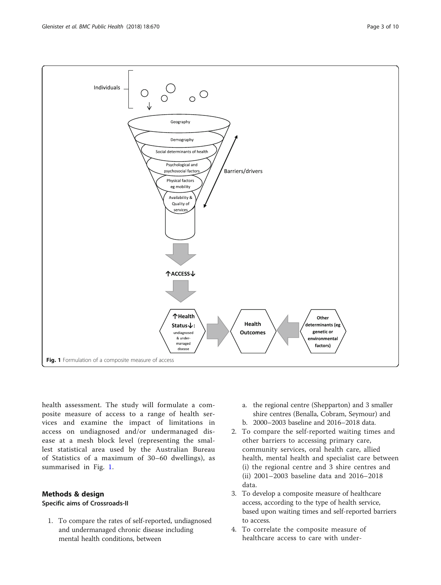

health assessment. The study will formulate a composite measure of access to a range of health services and examine the impact of limitations in access on undiagnosed and/or undermanaged disease at a mesh block level (representing the smallest statistical area used by the Australian Bureau of Statistics of a maximum of 30–60 dwellings), as summarised in Fig. 1.

# Methods & design

# Specific aims of Crossroads-II

1. To compare the rates of self-reported, undiagnosed and undermanaged chronic disease including mental health conditions, between

- a. the regional centre (Shepparton) and 3 smaller shire centres (Benalla, Cobram, Seymour) and
- b. 2000–2003 baseline and 2016–2018 data.
- 2. To compare the self-reported waiting times and other barriers to accessing primary care, community services, oral health care, allied health, mental health and specialist care between (i) the regional centre and 3 shire centres and (ii) 2001–2003 baseline data and 2016–2018 data.
- 3. To develop a composite measure of healthcare access, according to the type of health service, based upon waiting times and self-reported barriers to access.
- 4. To correlate the composite measure of healthcare access to care with under-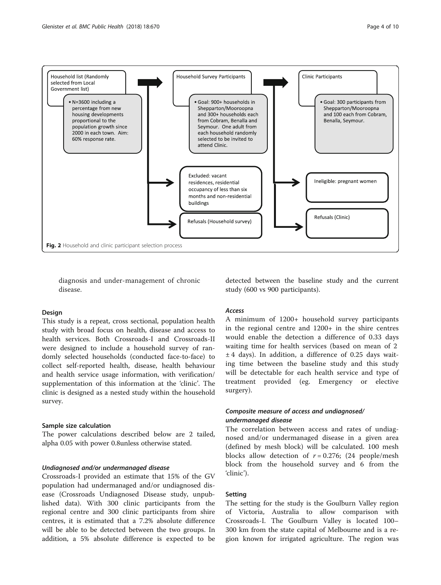<span id="page-3-0"></span>

diagnosis and under-management of chronic disease.

#### Design

This study is a repeat, cross sectional, population health study with broad focus on health, disease and access to health services. Both Crossroads-I and Crossroads-II were designed to include a household survey of randomly selected households (conducted face-to-face) to collect self-reported health, disease, health behaviour and health service usage information, with verification/ supplementation of this information at the 'clinic'. The clinic is designed as a nested study within the household survey.

#### Sample size calculation

The power calculations described below are 2 tailed, alpha 0.05 with power 0.8unless otherwise stated.

# Undiagnosed and/or undermanaged disease

Crossroads-I provided an estimate that 15% of the GV population had undermanaged and/or undiagnosed disease (Crossroads Undiagnosed Disease study, unpublished data). With 300 clinic participants from the regional centre and 300 clinic participants from shire centres, it is estimated that a 7.2% absolute difference will be able to be detected between the two groups. In addition, a 5% absolute difference is expected to be detected between the baseline study and the current study (600 vs 900 participants).

#### Access

A minimum of 1200+ household survey participants in the regional centre and 1200+ in the shire centres would enable the detection a difference of 0.33 days waiting time for health services (based on mean of 2  $± 4$  days). In addition, a difference of 0.25 days waiting time between the baseline study and this study will be detectable for each health service and type of treatment provided (eg. Emergency or elective surgery).

# Composite measure of access and undiagnosed/ undermanaged disease

The correlation between access and rates of undiagnosed and/or undermanaged disease in a given area (defined by mesh block) will be calculated. 100 mesh blocks allow detection of  $r = 0.276$ ; (24 people/mesh block from the household survey and 6 from the 'clinic').

# Setting

The setting for the study is the Goulburn Valley region of Victoria, Australia to allow comparison with Crossroads-I. The Goulburn Valley is located 100– 300 km from the state capital of Melbourne and is a region known for irrigated agriculture. The region was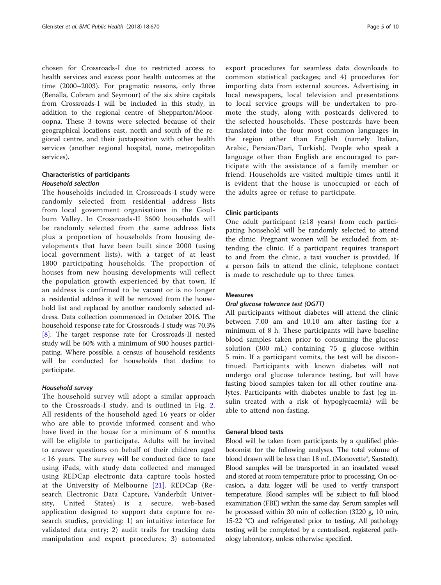chosen for Crossroads-I due to restricted access to health services and excess poor health outcomes at the time (2000–2003). For pragmatic reasons, only three (Benalla, Cobram and Seymour) of the six shire capitals from Crossroads-I will be included in this study, in addition to the regional centre of Shepparton/Mooroopna. These 3 towns were selected because of their geographical locations east, north and south of the regional centre, and their juxtaposition with other health services (another regional hospital, none, metropolitan services).

# Characteristics of participants Household selection

The households included in Crossroads-I study were randomly selected from residential address lists from local government organisations in the Goulburn Valley. In Crossroads-II 3600 households will be randomly selected from the same address lists plus a proportion of households from housing developments that have been built since 2000 (using local government lists), with a target of at least 1800 participating households. The proportion of houses from new housing developments will reflect the population growth experienced by that town. If an address is confirmed to be vacant or is no longer a residential address it will be removed from the household list and replaced by another randomly selected address. Data collection commenced in October 2016. The household response rate for Crossroads-I study was 70.3% [[8\]](#page-9-0). The target response rate for Crossroads-II nested study will be 60% with a minimum of 900 houses participating. Where possible, a census of household residents will be conducted for households that decline to participate.

# Household survey

The household survey will adopt a similar approach to the Crossroads-I study, and is outlined in Fig. [2](#page-3-0). All residents of the household aged 16 years or older who are able to provide informed consent and who have lived in the house for a minimum of 6 months will be eligible to participate. Adults will be invited to answer questions on behalf of their children aged < 16 years. The survey will be conducted face to face using iPads, with study data collected and managed using REDCap electronic data capture tools hosted at the University of Melbourne [[21](#page-9-0)]. REDCap (Research Electronic Data Capture, Vanderbilt University, United States) is a secure, web-based application designed to support data capture for research studies, providing: 1) an intuitive interface for validated data entry; 2) audit trails for tracking data manipulation and export procedures; 3) automated export procedures for seamless data downloads to common statistical packages; and 4) procedures for importing data from external sources. Advertising in local newspapers, local television and presentations to local service groups will be undertaken to promote the study, along with postcards delivered to the selected households. These postcards have been translated into the four most common languages in the region other than English (namely Italian, Arabic, Persian/Dari, Turkish). People who speak a language other than English are encouraged to participate with the assistance of a family member or friend. Households are visited multiple times until it is evident that the house is unoccupied or each of the adults agree or refuse to participate.

# Clinic participants

One adult participant  $(\geq 18$  years) from each participating household will be randomly selected to attend the clinic. Pregnant women will be excluded from attending the clinic. If a participant requires transport to and from the clinic, a taxi voucher is provided. If a person fails to attend the clinic, telephone contact is made to reschedule up to three times.

# Measures

# Oral glucose tolerance test (OGTT)

All participants without diabetes will attend the clinic between 7.00 am and 10.10 am after fasting for a minimum of 8 h. These participants will have baseline blood samples taken prior to consuming the glucose solution (300 mL) containing 75 g glucose within 5 min. If a participant vomits, the test will be discontinued. Participants with known diabetes will not undergo oral glucose tolerance testing, but will have fasting blood samples taken for all other routine analytes. Participants with diabetes unable to fast (eg insulin treated with a risk of hypoglycaemia) will be able to attend non-fasting.

# General blood tests

Blood will be taken from participants by a qualified phlebotomist for the following analyses. The total volume of blood drawn will be less than 18 mL (Monovette®, Sarstedt). Blood samples will be transported in an insulated vessel and stored at room temperature prior to processing. On occasion, a data logger will be used to verify transport temperature. Blood samples will be subject to full blood examination (FBE) within the same day. Serum samples will be processed within 30 min of collection (3220 g, 10 min, 15-22 °C) and refrigerated prior to testing. All pathology testing will be completed by a centralised, registered pathology laboratory, unless otherwise specified.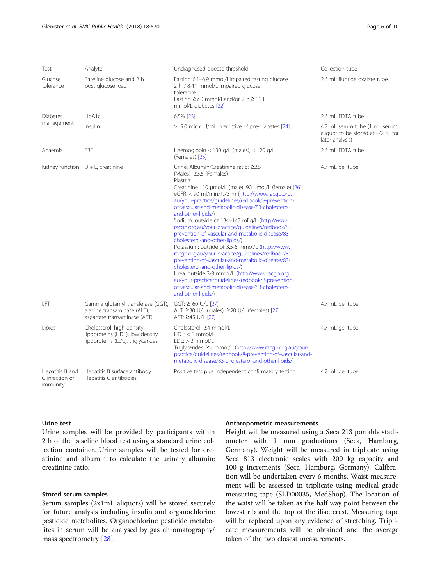| Test                                          | Analyte                                                                                            | Undiagnosed disease threshold                                                                                                                                                                                                                                                                                                                                                                                                                                                                                                                                                                                                                                                                                                                                                                                                                                                                      | Collection tube                                                                        |
|-----------------------------------------------|----------------------------------------------------------------------------------------------------|----------------------------------------------------------------------------------------------------------------------------------------------------------------------------------------------------------------------------------------------------------------------------------------------------------------------------------------------------------------------------------------------------------------------------------------------------------------------------------------------------------------------------------------------------------------------------------------------------------------------------------------------------------------------------------------------------------------------------------------------------------------------------------------------------------------------------------------------------------------------------------------------------|----------------------------------------------------------------------------------------|
| Glucose<br>tolerance                          | Baseline glucose and 2 h<br>post glucose load                                                      | Fasting 6.1-6.9 mmol/l impaired fasting glucose<br>2 h 7.8-11 mmol/L impaired glucose<br>tolerance<br>Fasting $\geq$ 7.0 mmol/l and/or 2 h $\geq$ 11.1<br>mmol/L diabetes [22]                                                                                                                                                                                                                                                                                                                                                                                                                                                                                                                                                                                                                                                                                                                     | 2.6 mL fluoride oxalate tube                                                           |
| <b>Diabetes</b><br>management                 | HbA1c                                                                                              | 6.5% [23]                                                                                                                                                                                                                                                                                                                                                                                                                                                                                                                                                                                                                                                                                                                                                                                                                                                                                          | 2.6 mL EDTA tube                                                                       |
|                                               | Insulin                                                                                            | > 9.0 microlU/mL predictive of pre-diabetes [24]                                                                                                                                                                                                                                                                                                                                                                                                                                                                                                                                                                                                                                                                                                                                                                                                                                                   | 4.7 mL serum tube (1 mL serum<br>aliquot to be stored at -72 °C for<br>later analysis) |
| Anaemia                                       | <b>FBE</b>                                                                                         | Haemoglobin < 130 g/L (males), < 120 g/L<br>(Females) [25]                                                                                                                                                                                                                                                                                                                                                                                                                                                                                                                                                                                                                                                                                                                                                                                                                                         | 2.6 mL EDTA tube                                                                       |
|                                               | Kidney function $U + E$ , creatinine                                                               | Urine: Albumin/Creatinine ratio: ≥2.5<br>(Males), ≥3.5 (Females)<br>Plasma:<br>Creatinine 110 µmol/L (male), 90 µmol/L (female) [26]<br>eGFR: < 90 ml/min/1.73 m (http://www.racqp.org.<br>au/your-practice/guidelines/redbook/8-prevention-<br>of-vascular-and-metabolic-disease/83-cholesterol-<br>and-other-lipids/)<br>Sodium: outside of 134-145 mEq/L (http://www.<br>racgp.org.au/your-practice/guidelines/redbook/8-<br>prevention-of-vascular-and-metabolic-disease/83-<br>cholesterol-and-other-lipids/)<br>Potassium: outside of 3.5-5 mmol/L (http://www.<br>racgp.org.au/your-practice/guidelines/redbook/8-<br>prevention-of-vascular-and-metabolic-disease/83-<br>cholesterol-and-other-lipids/)<br>Urea: outside 3-8 mmol/L (http://www.racqp.org.<br>au/your-practice/quidelines/redbook/8-prevention-<br>of-vascular-and-metabolic-disease/83-cholesterol-<br>and-other-lipids/) | 4.7 mL gel tube                                                                        |
| LFT                                           | Gamma glutamyl transferase (GGT),<br>alanine transaminase (ALT),<br>aspartate transaminase (AST).  | $GGT: \geq 60$ U/L $[27]$<br>ALT: ≥30 U/L (males), ≥20 U/L (females) [27]<br>AST: ≥45 U/L [27]                                                                                                                                                                                                                                                                                                                                                                                                                                                                                                                                                                                                                                                                                                                                                                                                     | 4.7 mL gel tube                                                                        |
| Lipids                                        | Cholesterol, high density<br>lipoproteins (HDL), low density<br>lipoproteins (LDL), triglycerides. | Cholesterol: ≥4 mmol/L<br>$HDL: < 1$ mmol/L<br>$LDL:$ > 2 mmol/L<br>Triglycerides: ≥2 mmol/L (http://www.racgp.org.au/your-<br>practice/quidelines/redbook/8-prevention-of-vascular-and-<br>metabolic-disease/83-cholesterol-and-other-lipids/)                                                                                                                                                                                                                                                                                                                                                                                                                                                                                                                                                                                                                                                    | 4.7 mL gel tube                                                                        |
| Hepatitis B and<br>C infection or<br>immunity | Hepatitis B surface antibody<br>Hepatitis C antibodies                                             | Positive test plus independent confirmatory testing.                                                                                                                                                                                                                                                                                                                                                                                                                                                                                                                                                                                                                                                                                                                                                                                                                                               | 4.7 mL gel tube                                                                        |

#### Urine test

Urine samples will be provided by participants within 2 h of the baseline blood test using a standard urine collection container. Urine samples will be tested for creatinine and albumin to calculate the urinary albumin: creatinine ratio.

#### Stored serum samples

Serum samples (2x1mL aliquots) will be stored securely for future analysis including insulin and organochlorine pesticide metabolites. Organochlorine pesticide metabolites in serum will be analysed by gas chromatography/ mass spectrometry [[28](#page-9-0)].

# Anthropometric measurements

Height will be measured using a Seca 213 portable stadiometer with 1 mm graduations (Seca, Hamburg, Germany). Weight will be measured in triplicate using Seca 813 electronic scales with 200 kg capacity and 100 g increments (Seca, Hamburg, Germany). Calibration will be undertaken every 6 months. Waist measurement will be assessed in triplicate using medical grade measuring tape (SLD00035, MedShop). The location of the waist will be taken as the half way point between the lowest rib and the top of the iliac crest. Measuring tape will be replaced upon any evidence of stretching. Triplicate measurements will be obtained and the average taken of the two closest measurements.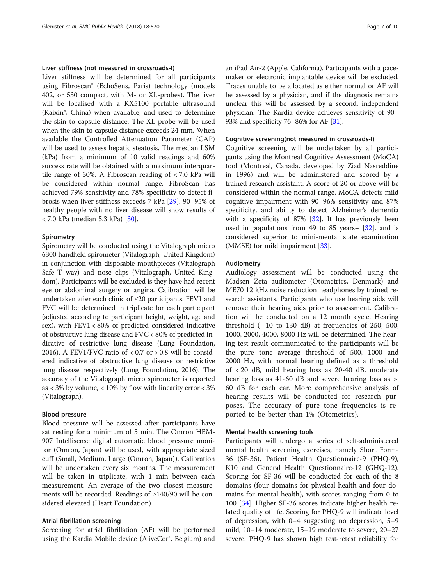# Liver stiffness (not measured in crossroads-I)

Liver stiffness will be determined for all participants using Fibroscan® (EchoSens, Paris) technology (models 402, or 530 compact, with M- or XL-probes). The liver will be localised with a KX5100 portable ultrasound (Kaixin®, China) when available, and used to determine the skin to capsule distance. The XL-probe will be used when the skin to capsule distance exceeds 24 mm. When available the Controlled Attenuation Parameter (CAP) will be used to assess hepatic steatosis. The median LSM (kPa) from a minimum of 10 valid readings and 60% success rate will be obtained with a maximum interquartile range of 30%. A Fibroscan reading of < 7.0 kPa will be considered within normal range. FibroScan has achieved 79% sensitivity and 78% specificity to detect fibrosis when liver stiffness exceeds 7 kPa [[29\]](#page-9-0). 90–95% of healthy people with no liver disease will show results of < 7.0 kPa (median 5.3 kPa) [[30\]](#page-9-0).

#### Spirometry

Spirometry will be conducted using the Vitalograph micro 6300 handheld spirometer (Vitalograph, United Kingdom) in conjunction with disposable mouthpieces (Vitalograph Safe T way) and nose clips (Vitalograph, United Kingdom). Participants will be excluded is they have had recent eye or abdominal surgery or angina. Calibration will be undertaken after each clinic of ≤20 participants. FEV1 and FVC will be determined in triplicate for each participant (adjusted according to participant height, weight, age and sex), with FEV1 < 80% of predicted considered indicative of obstructive lung disease and FVC < 80% of predicted indicative of restrictive lung disease (Lung Foundation, 2016). A FEV1/FVC ratio of  $< 0.7$  or  $> 0.8$  will be considered indicative of obstructive lung disease or restrictive lung disease respectively (Lung Foundation, 2016). The accuracy of the Vitalograph micro spirometer is reported as  $<$  3% by volume,  $<$  10% by flow with linearity error  $<$  3% (Vitalograph).

#### Blood pressure

Blood pressure will be assessed after participants have sat resting for a minimum of 5 min. The Omron HEM-907 Intellisense digital automatic blood pressure monitor (Omron, Japan) will be used, with appropriate sized cuff (Small, Medium, Large (Omron, Japan)). Calibration will be undertaken every six months. The measurement will be taken in triplicate, with 1 min between each measurement. An average of the two closest measurements will be recorded. Readings of ≥140/90 will be considered elevated (Heart Foundation).

#### Atrial fibrillation screening

Screening for atrial fibrillation (AF) will be performed using the Kardia Mobile device (AliveCor®, Belgium) and an iPad Air-2 (Apple, California). Participants with a pacemaker or electronic implantable device will be excluded. Traces unable to be allocated as either normal or AF will be assessed by a physician, and if the diagnosis remains unclear this will be assessed by a second, independent physician. The Kardia device achieves sensitivity of 90– 93% and specificity 76–86% for AF [\[31](#page-9-0)].

#### Cognitive screening(not measured in crossroads-I)

Cognitive screening will be undertaken by all participants using the Montreal Cognitive Assessment (MoCA) tool (Montreal, Canada, developed by Ziad Nasreddine in 1996) and will be administered and scored by a trained research assistant. A score of 20 or above will be considered within the normal range. MoCA detects mild cognitive impairment with 90–96% sensitivity and 87% specificity, and ability to detect Alzheimer's dementia with a specificity of  $87\%$   $[32]$  $[32]$  $[32]$ . It has previously been used in populations from 49 to 85 years  $\pm$  [[32\]](#page-9-0), and is considered superior to mini-mental state examination (MMSE) for mild impairment [[33](#page-9-0)].

# Audiometry

Audiology assessment will be conducted using the Madsen Zeta audiometer (Otometrics, Denmark) and ME70 12 kHz noise reduction headphones by trained research assistants. Participants who use hearing aids will remove their hearing aids prior to assessment. Calibration will be conducted on a 12 month cycle. Hearing threshold  $(-10 \text{ to } 130 \text{ dB})$  at frequencies of 250, 500, 1000, 2000, 4000, 8000 Hz will be determined. The hearing test result communicated to the participants will be the pure tone average threshold of 500, 1000 and 2000 Hz, with normal hearing defined as a threshold of < 20 dB, mild hearing loss as 20-40 dB, moderate hearing loss as 41-60 dB and severe hearing loss as > 60 dB for each ear. More comprehensive analysis of hearing results will be conducted for research purposes. The accuracy of pure tone frequencies is reported to be better than 1% (Otometrics).

# Mental health screening tools

Participants will undergo a series of self-administered mental health screening exercises, namely Short Form-36 (SF-36), Patient Health Questionnaire-9 (PHQ-9), K10 and General Health Questionnaire-12 (GHQ-12). Scoring for SF-36 will be conducted for each of the 8 domains (four domains for physical health and four domains for mental health), with scores ranging from 0 to 100 [\[34](#page-9-0)]. Higher SF-36 scores indicate higher health related quality of life. Scoring for PHQ-9 will indicate level of depression, with 0–4 suggesting no depression, 5–9 mild, 10–14 moderate, 15–19 moderate to severe, 20–27 severe. PHQ-9 has shown high test-retest reliability for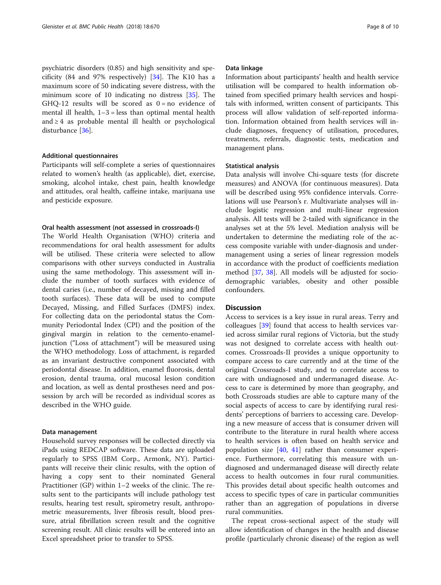psychiatric disorders (0.85) and high sensitivity and specificity (84 and 97% respectively) [[34\]](#page-9-0). The K10 has a maximum score of 50 indicating severe distress, with the minimum score of 10 indicating no distress [\[35](#page-9-0)]. The GHQ-12 results will be scored as  $0 = no$  evidence of mental ill health,  $1-3$  = less than optimal mental health and ≥ 4 as probable mental ill health or psychological disturbance [\[36](#page-9-0)].

#### Additional questionnaires

Participants will self-complete a series of questionnaires related to women's health (as applicable), diet, exercise, smoking, alcohol intake, chest pain, health knowledge and attitudes, oral health, caffeine intake, marijuana use and pesticide exposure.

# Oral health assessment (not assessed in crossroads-I)

The World Health Organisation (WHO) criteria and recommendations for oral health assessment for adults will be utilised. These criteria were selected to allow comparisons with other surveys conducted in Australia using the same methodology. This assessment will include the number of tooth surfaces with evidence of dental caries (i.e., number of decayed, missing and filled tooth surfaces). These data will be used to compute Decayed, Missing, and Filled Surfaces (DMFS) index. For collecting data on the periodontal status the Community Periodontal Index (CPI) and the position of the gingival margin in relation to the cemento-enameljunction ("Loss of attachment") will be measured using the WHO methodology. Loss of attachment, is regarded as an invariant destructive component associated with periodontal disease. In addition, enamel fluorosis, dental erosion, dental trauma, oral mucosal lesion condition and location, as well as dental prostheses need and possession by arch will be recorded as individual scores as described in the WHO guide.

#### Data management

Household survey responses will be collected directly via iPads using REDCAP software. These data are uploaded regularly to SPSS (IBM Corp., Armonk, NY). Participants will receive their clinic results, with the option of having a copy sent to their nominated General Practitioner (GP) within 1–2 weeks of the clinic. The results sent to the participants will include pathology test results, hearing test result, spirometry result, anthropometric measurements, liver fibrosis result, blood pressure, atrial fibrillation screen result and the cognitive screening result. All clinic results will be entered into an Excel spreadsheet prior to transfer to SPSS.

#### Data linkage

Information about participants' health and health service utilisation will be compared to health information obtained from specified primary health services and hospitals with informed, written consent of participants. This process will allow validation of self-reported information. Information obtained from health services will include diagnoses, frequency of utilisation, procedures, treatments, referrals, diagnostic tests, medication and management plans.

#### Statistical analysis

Data analysis will involve Chi-square tests (for discrete measures) and ANOVA (for continuous measures). Data will be described using 95% confidence intervals. Correlations will use Pearson's r. Multivariate analyses will include logistic regression and multi-linear regression analysis. All tests will be 2-tailed with significance in the analyses set at the 5% level. Mediation analysis will be undertaken to determine the mediating role of the access composite variable with under-diagnosis and undermanagement using a series of linear regression models in accordance with the product of coefficients mediation method [\[37](#page-9-0), [38](#page-9-0)]. All models will be adjusted for sociodemographic variables, obesity and other possible confounders.

# **Discussion**

Access to services is a key issue in rural areas. Terry and colleagues [\[39](#page-9-0)] found that access to health services varied across similar rural regions of Victoria, but the study was not designed to correlate access with health outcomes. Crossroads-II provides a unique opportunity to compare access to care currently and at the time of the original Crossroads-I study, and to correlate access to care with undiagnosed and undermanaged disease. Access to care is determined by more than geography, and both Crossroads studies are able to capture many of the social aspects of access to care by identifying rural residents' perceptions of barriers to accessing care. Developing a new measure of access that is consumer driven will contribute to the literature in rural health where access to health services is often based on health service and population size  $[40, 41]$  $[40, 41]$  $[40, 41]$  $[40, 41]$  rather than consumer experience. Furthermore, correlating this measure with undiagnosed and undermanaged disease will directly relate access to health outcomes in four rural communities. This provides detail about specific health outcomes and access to specific types of care in particular communities rather than an aggregation of populations in diverse rural communities.

The repeat cross-sectional aspect of the study will allow identification of changes in the health and disease profile (particularly chronic disease) of the region as well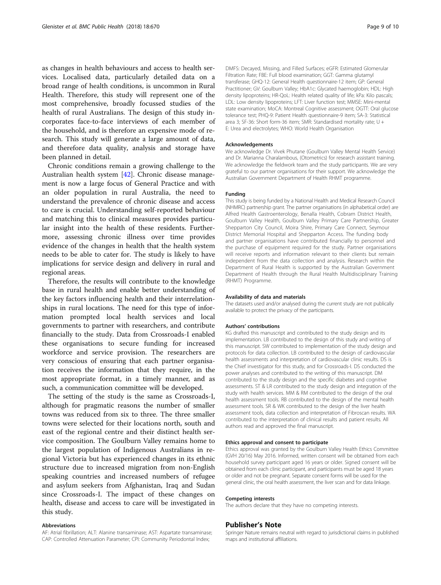as changes in health behaviours and access to health services. Localised data, particularly detailed data on a broad range of health conditions, is uncommon in Rural Health. Therefore, this study will represent one of the most comprehensive, broadly focussed studies of the health of rural Australians. The design of this study incorporates face-to-face interviews of each member of the household, and is therefore an expensive mode of research. This study will generate a large amount of data, and therefore data quality, analysis and storage have been planned in detail.

Chronic conditions remain a growing challenge to the Australian health system [[42\]](#page-9-0). Chronic disease management is now a large focus of General Practice and with an older population in rural Australia, the need to understand the prevalence of chronic disease and access to care is crucial. Understanding self-reported behaviour and matching this to clinical measures provides particular insight into the health of these residents. Furthermore, assessing chronic illness over time provides evidence of the changes in health that the health system needs to be able to cater for. The study is likely to have implications for service design and delivery in rural and regional areas.

Therefore, the results will contribute to the knowledge base in rural health and enable better understanding of the key factors influencing health and their interrelationships in rural locations. The need for this type of information prompted local health services and local governments to partner with researchers, and contribute financially to the study. Data from Crossroads-I enabled these organisations to secure funding for increased workforce and service provision. The researchers are very conscious of ensuring that each partner organisation receives the information that they require, in the most appropriate format, in a timely manner, and as such, a communication committee will be developed.

The setting of the study is the same as Crossroads-I, although for pragmatic reasons the number of smaller towns was reduced from six to three. The three smaller towns were selected for their locations north, south and east of the regional centre and their distinct health service composition. The Goulburn Valley remains home to the largest population of Indigenous Australians in regional Victoria but has experienced changes in its ethnic structure due to increased migration from non-English speaking countries and increased numbers of refugee and asylum seekers from Afghanistan, Iraq and Sudan since Crossroads-I. The impact of these changes on health, disease and access to care will be investigated in this study.

#### Abbreviations

AF: Atrial fibrillation; ALT: Alanine transaminase; AST: Aspartate transaminase; CAP: Controlled Attenuation Parameter; CPI: Community Periodontal Index;

DMFS: Decayed, Missing, and Filled Surfaces; eGFR: Estimated Glomerular Filtration Rate; FBE: Full blood examination; GGT: Gamma glutamyl transferase; GHQ-12: General Health questionnaire-12 item; GP: General Practitioner; GV: Goulburn Valley; HbA1c: Glycated haemoglobin; HDL: High density lipoproteins; HR-QoL: Health related quality of life; kPa: Kilo pascals; LDL: Low density lipoproteins; LFT: Liver function test; MMSE: Mini-mental state examination; MoCA: Montreal Cognitive assessment; OGTT: Oral glucose tolerance test; PHQ-9: Patient Health questionnaire-9 item; SA-3: Statistical area 3; SF-36: Short form-36 item; SMR: Standardised mortality rate; U + E: Urea and electrolytes; WHO: World Health Organisation

#### Acknowledgements

We acknowledge Dr. Vivek Phutane (Goulburn Valley Mental Health Service) and Dr. Marianna Charalambous, (Otometrics) for research assistant training. We acknowledge the fieldwork team and the study participants. We are very grateful to our partner organisations for their support. We acknowledge the Australian Government Department of Health RHMT programme.

#### Funding

This study is being funded by a National Health and Medical Research Council (NHMRC) partnership grant. The partner organisations (in alphabetical order) are Alfred Health Gastroenterology, Benalla Health, Cobram District Health, Goulburn Valley Health, Goulburn Valley Primary Care Partnership, Greater Shepparton City Council, Moira Shire, Primary Care Connect, Seymour District Memorial Hospital and Shepparton Access. The funding body and partner organisations have contributed financially to personnel and the purchase of equipment required for the study. Partner organisations will receive reports and information relevant to their clients but remain independent from the data collection and analysis. Research within the Department of Rural Health is supported by the Australian Government Department of Health through the Rural Health Multidisciplinary Training (RHMT) Programme.

#### Availability of data and materials

The datasets used and/or analysed during the current study are not publically available to protect the privacy of the participants.

#### Authors' contributions

KG drafted this manuscript and contributed to the study design and its implementation. LB contributed to the design of this study and writing of this manuscript. SW contributed to implementation of the study design and protocols for data collection. LB contributed to the design of cardiovascular health assessments and interpretation of cardiovascular clinic results. DS is the Chief investigator for this study, and for Crossroads-I. DS conducted the power analyses and contributed to the writing of this manuscript. DM contributed to the study design and the specific diabetes and cognitive assessments. ST & LR contributed to the study design and integration of the study with health services. MM & RM contributed to the design of the oral health assessment tools. RB contributed to the design of the mental health assessment tools. SR & WK contributed to the design of the liver health assessment tools, data collection and interpretation of Fibroscan results. WA contributed to the interpretation of clinical results and patient results. All authors read and approved the final manuscript.

#### Ethics approval and consent to participate

Ethics approval was granted by the Goulburn Valley Health Ethics Committee (GVH 20/16) May 2016. Informed, written consent will be obtained from each household survey participant aged 16 years or older. Signed consent will be obtained from each clinic participant, and participants must be aged 18 years or older and not be pregnant. Separate consent forms will be used for the general clinic, the oral health assessment, the liver scan and for data linkage.

#### Competing interests

The authors declare that they have no competing interests.

#### Publisher's Note

Springer Nature remains neutral with regard to jurisdictional claims in published maps and institutional affiliations.